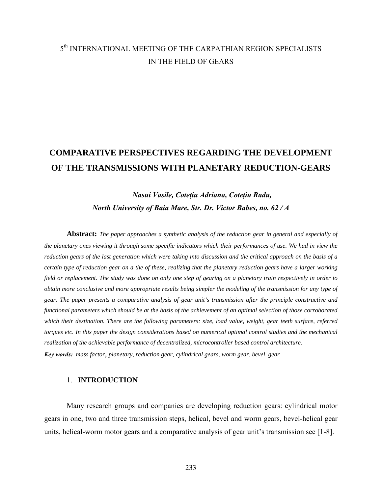## 5th INTERNATIONAL MEETING OF THE CARPATHIAN REGION SPECIALISTS IN THE FIELD OF GEARS

# **COMPARATIVE PERSPECTIVES REGARDING THE DEVELOPMENT OF THE TRANSMISSIONS WITH PLANETARY REDUCTION-GEARS**

### *Nasui Vasile, Coteţiu Adriana, Coteţiu Radu, North University of Baia Mare, Str. Dr. Victor Babes, no. 62 / A*

**Abstract:** *The paper approaches a synthetic analysis of the reduction gear in general and especially of the planetary ones viewing it through some specific indicators which their performances of use. We had in view the reduction gears of the last generation which were taking into discussion and the critical approach on the basis of a certain type of reduction gear on a the of these, realizing that the planetary reduction gears have a larger working field or replacement. The study was done on only one step of gearing on a planetary train respectively in order to obtain more conclusive and more appropriate results being simpler the modeling of the transmission for any type of gear. The paper presents a comparative analysis of gear unit's transmission after the principle constructive and functional parameters which should be at the basis of the achievement of an optimal selection of those corroborated which their destination. There are the following parameters: size, load value, weight, gear teeth surface, referred torques etc. In this paper the design considerations based on numerical optimal control studies and the mechanical realization of the achievable performance of decentralized, microcontroller based control architecture. Key words: mass factor*, *planetary, reduction gear, cylindrical gears, worm gear, bevel gear* 

#### 1. **INTRODUCTION**

Many research groups and companies are developing reduction gears: cylindrical motor gears in one, two and three transmission steps, helical, bevel and worm gears, bevel-helical gear units, helical-worm motor gears and a comparative analysis of gear unit's transmission see [1-8].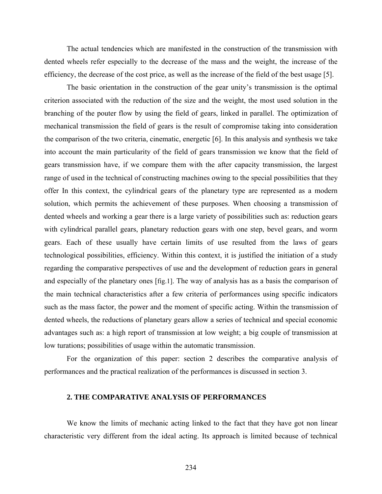The actual tendencies which are manifested in the construction of the transmission with dented wheels refer especially to the decrease of the mass and the weight, the increase of the efficiency, the decrease of the cost price, as well as the increase of the field of the best usage [5].

 The basic orientation in the construction of the gear unity's transmission is the optimal criterion associated with the reduction of the size and the weight, the most used solution in the branching of the pouter flow by using the field of gears, linked in parallel. The optimization of mechanical transmission the field of gears is the result of compromise taking into consideration the comparison of the two criteria, cinematic, energetic [6]. In this analysis and synthesis we take into account the main particularity of the field of gears transmission we know that the field of gears transmission have, if we compare them with the after capacity transmission, the largest range of used in the technical of constructing machines owing to the special possibilities that they offer In this context, the cylindrical gears of the planetary type are represented as a modern solution, which permits the achievement of these purposes. When choosing a transmission of dented wheels and working a gear there is a large variety of possibilities such as: reduction gears with cylindrical parallel gears, planetary reduction gears with one step, bevel gears, and worm gears. Each of these usually have certain limits of use resulted from the laws of gears technological possibilities, efficiency. Within this context, it is justified the initiation of a study regarding the comparative perspectives of use and the development of reduction gears in general and especially of the planetary ones [fig.1]. The way of analysis has as a basis the comparison of the main technical characteristics after a few criteria of performances using specific indicators such as the mass factor, the power and the moment of specific acting. Within the transmission of dented wheels, the reductions of planetary gears allow a series of technical and special economic advantages such as: a high report of transmission at low weight; a big couple of transmission at low turations; possibilities of usage within the automatic transmission.

 For the organization of this paper: section 2 describes the comparative analysis of performances and the practical realization of the performances is discussed in section 3.

#### **2. THE COMPARATIVE ANALYSIS OF PERFORMANCES**

 We know the limits of mechanic acting linked to the fact that they have got non linear characteristic very different from the ideal acting. Its approach is limited because of technical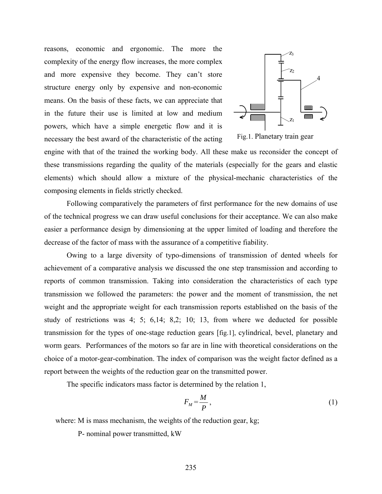reasons, economic and ergonomic. The more the complexity of the energy flow increases, the more complex and more expensive they become. They can't store structure energy only by expensive and non-economic means. On the basis of these facts, we can appreciate that in the future their use is limited at low and medium powers, which have a simple energetic flow and it is necessary the best award of the characteristic of the acting



Fig.1. Planetary train gear

engine with that of the trained the working body. All these make us reconsider the concept of these transmissions regarding the quality of the materials (especially for the gears and elastic elements) which should allow a mixture of the physical-mechanic characteristics of the composing elements in fields strictly checked.

 Following comparatively the parameters of first performance for the new domains of use of the technical progress we can draw useful conclusions for their acceptance. We can also make easier a performance design by dimensioning at the upper limited of loading and therefore the decrease of the factor of mass with the assurance of a competitive fiability.

 Owing to a large diversity of typo-dimensions of transmission of dented wheels for achievement of a comparative analysis we discussed the one step transmission and according to reports of common transmission. Taking into consideration the characteristics of each type transmission we followed the parameters: the power and the moment of transmission, the net weight and the appropriate weight for each transmission reports established on the basis of the study of restrictions was 4; 5; 6,14; 8,2; 10; 13, from where we deducted for possible transmission for the types of one-stage reduction gears [fig.1], cylindrical, bevel, planetary and worm gears. Performances of the motors so far are in line with theoretical considerations on the choice of a motor-gear-combination. The index of comparison was the weight factor defined as a report between the weights of the reduction gear on the transmitted power.

The specific indicators mass factor is determined by the relation 1,

$$
F_M = \frac{M}{P},\tag{1}
$$

where: M is mass mechanism, the weights of the reduction gear, kg;

P- nominal power transmitted, kW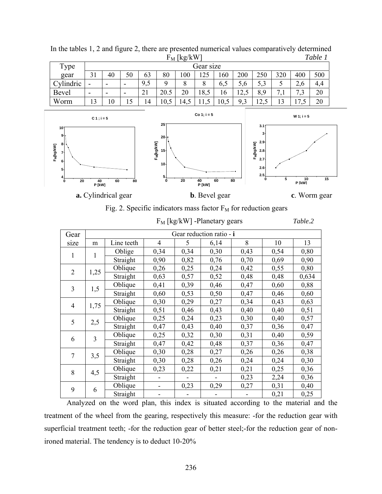| $\Gamma$ <sub>M</sub>   Kg/KW |                          |                          |                          |     |      |      |      |      | rapie r |          |                 |                                 |     |
|-------------------------------|--------------------------|--------------------------|--------------------------|-----|------|------|------|------|---------|----------|-----------------|---------------------------------|-----|
| Type                          | Gear size                |                          |                          |     |      |      |      |      |         |          |                 |                                 |     |
| gear                          | 31                       | 40                       | 50                       | 63  | 80   | 100  | 125  | 160  | 200     | 250      | 320             | 400                             | 500 |
| Cylindric                     | ۰                        | $\overline{\phantom{0}}$ | $\overline{\phantom{a}}$ | 9,5 |      | 8    | 8    | 6,5  | 5,6     | 5,3      | ◡               | ◠<br>2,6                        | 4,4 |
| Bevel                         | $\overline{\phantom{0}}$ | $\overline{\phantom{0}}$ | $\overline{\phantom{a}}$ | 21  | 20.5 | 20   | 18,5 | 16   | 12,5    | 8,9      |                 | ⇁<br>ت -                        | 20  |
| Worm                          | 13                       | 10                       |                          | 14  | 10,5 | 14,5 |      | 10,5 | 9,3     | ി<br>ن ک | $\bigcap$<br>IJ | $\overline{\phantom{a}}$<br>ن . | 20  |





Fig. 2. Specific indicators mass factor  $F_M$  for reduction gears

| Gear           | Gear reduction ratio - i |            |                |      |      |      |      |       |  |  |  |
|----------------|--------------------------|------------|----------------|------|------|------|------|-------|--|--|--|
| size           | m                        | Line teeth | $\overline{4}$ | 5    | 6,14 | 8    | 10   | 13    |  |  |  |
| 1              | 1                        | Oblige     | 0,34           | 0,34 | 0,30 | 0,43 | 0,54 | 0,80  |  |  |  |
|                |                          | Straight   | 0,90           | 0,82 | 0,76 | 0,70 | 0,69 | 0,90  |  |  |  |
| $\overline{2}$ | 1,25                     | Oblique    | 0,26           | 0,25 | 0,24 | 0,42 | 0,55 | 0,80  |  |  |  |
|                |                          | Straight   | 0,63           | 0,57 | 0,52 | 0,48 | 0,48 | 0,634 |  |  |  |
| 3              | 1,5                      | Oblique    | 0,41           | 0,39 | 0,46 | 0,47 | 0,60 | 0,88  |  |  |  |
|                |                          | Straight   | 0,60           | 0,53 | 0,50 | 0,47 | 0,46 | 0,60  |  |  |  |
| $\overline{4}$ | 1,75                     | Oblique    | 0,30           | 0,29 | 0,27 | 0,34 | 0,43 | 0,63  |  |  |  |
|                |                          | Straight   | 0,51           | 0,46 | 0,43 | 0,40 | 0,40 | 0,51  |  |  |  |
| 5              | 2,5                      | Oblique    | 0,25           | 0,24 | 0,23 | 0,30 | 0,40 | 0,57  |  |  |  |
|                |                          | Straight   | 0,47           | 0,43 | 0,40 | 0,37 | 0,36 | 0,47  |  |  |  |
| 6              | 3                        | Oblique    | 0,25           | 0,32 | 0,30 | 0,31 | 0,40 | 0,59  |  |  |  |
|                |                          | Straight   | 0,47           | 0,42 | 0,48 | 0,37 | 0,36 | 0,47  |  |  |  |
| 7              | 3,5                      | Oblique    | 0,30           | 0,28 | 0,27 | 0,26 | 0,26 | 0,38  |  |  |  |
|                |                          | Straight   | 0,30           | 0,28 | 0,26 | 0,24 | 0,24 | 0,30  |  |  |  |
| 8              | 4,5                      | Oblique    | 0,23           | 0,22 | 0,21 | 0,21 | 0,25 | 0,36  |  |  |  |
|                |                          | Straight   |                |      |      | 0,23 | 2,24 | 0,36  |  |  |  |
| 9              | 6                        | Oblique    |                | 0,23 | 0,29 | 0,27 | 0,31 | 0,40  |  |  |  |
|                |                          | Straight   |                |      |      |      | 0,21 | 0,25  |  |  |  |

FM [kg/kW] -Planetary gears *Table.2*

 Analyzed on the word plan, this index is situated according to the material and the treatment of the wheel from the gearing, respectively this measure: -for the reduction gear with superficial treatment teeth; -for the reduction gear of better steel;-for the reduction gear of nonironed material. The tendency is to deduct 10-20%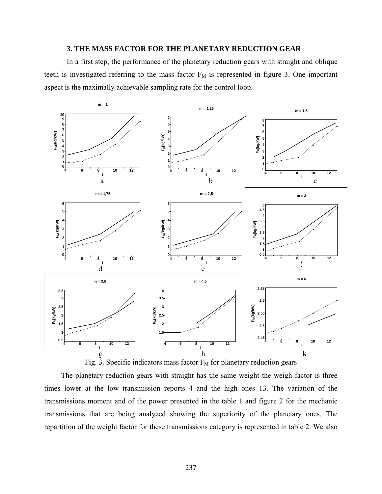### **3. THE MASS FACTOR FOR THE PLANETARY REDUCTION GEAR**

In a first step, the performance of the planetary reduction gears with straight and oblique teeth is investigated referring to the mass factor  $F_M$  is represented in figure 3. One important aspect is the maximally achievable sampling rate for the control loop.



Fig. 3. Specific indicators mass factor  $F_M$  for planetary reduction gears

 The planetary reduction gears with straight has the same weight the weigh factor is three times lower at the low transmission reports 4 and the high ones 13. The variation of the transmissions moment and of the power presented in the table 1 and figure 2 for the mechanic transmissions that are being analyzed showing the superiority of the planetary ones. The repartition of the weight factor for these transmissions category is represented in table 2. We also